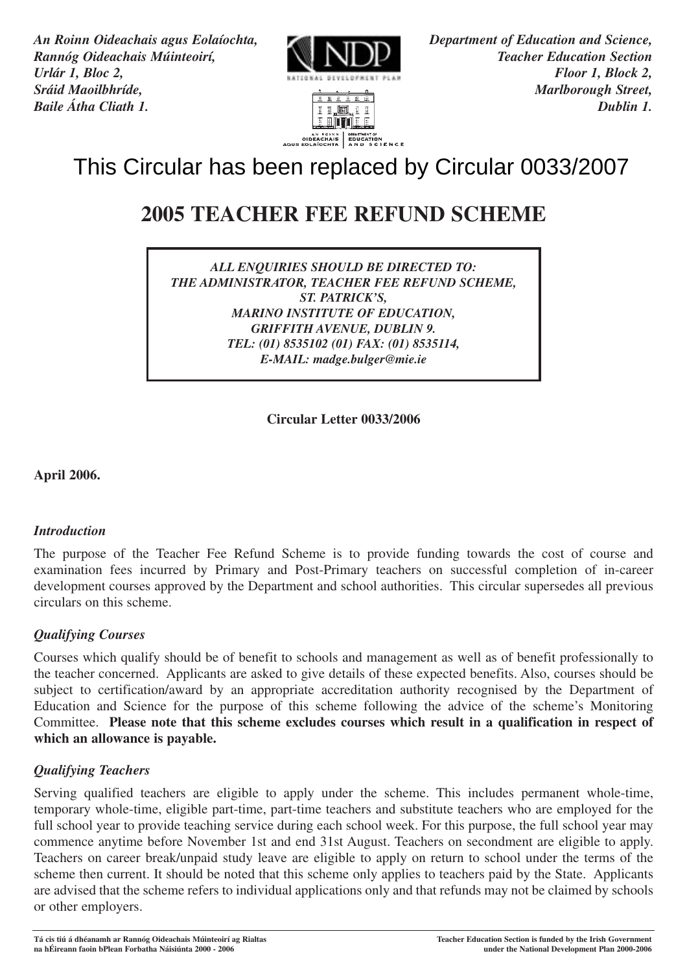*An Roinn Oideachais agus Eolaíochta, Department of Education and Science, Rannóg Oideachais Múinteoirí, NNNNNN Urlár 1, Bloc 2, Floor 1, Block 2, Sráid Maoilbhríde, Marlborough Street,*



**ENTILE** AN AGINN | DENATHENTOR<br>| CIDEACHAIS | EDUCATION<br>| AND SCIENCE

*Baile Átha Cliath 1. Dublin 1.*

# **2005 TEACHER FEE REFUND SCHEME**

*ALL ENQUIRIES SHOULD BE DIRECTED TO: THE ADMINISTRATOR, TEACHER FEE REFUND SCHEME, ST. PATRICK'S, MARINO INSTITUTE OF EDUCATION, GRIFFITH AVENUE, DUBLIN 9. TEL: (01) 8535102 (01) FAX: (01) 8535114, E-MAIL: madge.bulger@mie.ie*

**Circular Letter 0033/2006**

**April 2006.**

## *Introduction*

The purpose of the Teacher Fee Refund Scheme is to provide funding towards the cost of course and examination fees incurred by Primary and Post-Primary teachers on successful completion of in-career development courses approved by the Department and school authorities. This circular supersedes all previous circulars on this scheme.

# *Qualifying Courses*

Courses which qualify should be of benefit to schools and management as well as of benefit professionally to the teacher concerned. Applicants are asked to give details of these expected benefits. Also, courses should be subject to certification/award by an appropriate accreditation authority recognised by the Department of Education and Science for the purpose of this scheme following the advice of the scheme's Monitoring Committee. **Please note that this scheme excludes courses which result in a qualification in respect of which an allowance is payable.**

# *Qualifying Teachers*

Serving qualified teachers are eligible to apply under the scheme. This includes permanent whole-time, temporary whole-time, eligible part-time, part-time teachers and substitute teachers who are employed for the full school year to provide teaching service during each school week. For this purpose, the full school year may commence anytime before November 1st and end 31st August. Teachers on secondment are eligible to apply. Teachers on career break/unpaid study leave are eligible to apply on return to school under the terms of the scheme then current. It should be noted that this scheme only applies to teachers paid by the State. Applicants are advised that the scheme refers to individual applications only and that refunds may not be claimed by schools or other employers. **This Circular has been replaced by Circular 0033/2007**<br>
2005 **TEACHER FEE REFUND SCHEME**<br> **EVERY ALL CONFIGUES FOR THE ANGLEME FOR THE ANGLEME CONFIGUER FOR THE REFUND SCHEME**<br> **THE ADMINISTRATION CONFIGUER FOR THE REFUN**